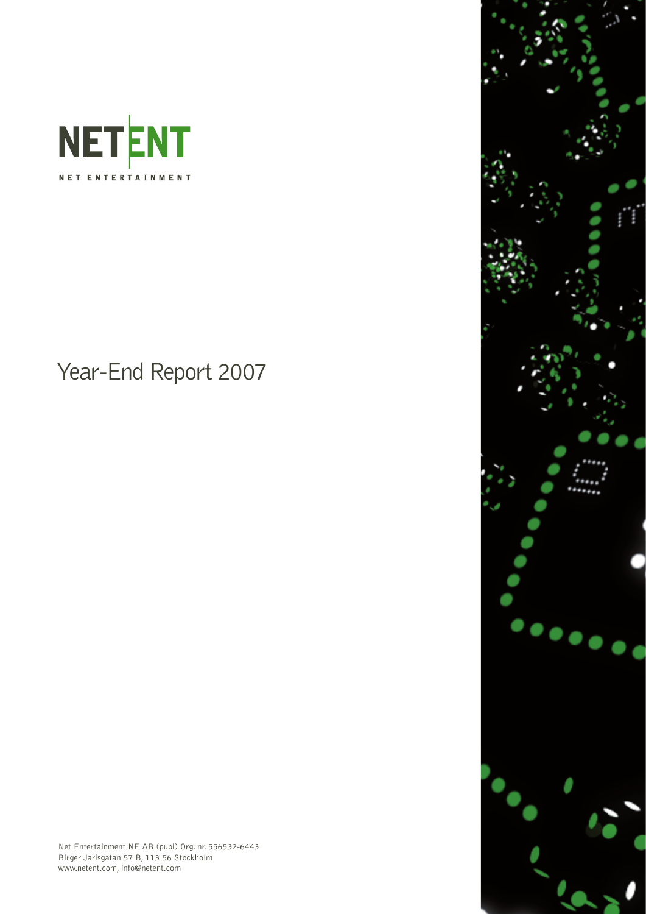

Year-End Report 2007



Net Entertainment NE AB (publ) Org. nr. 556532-6443 Birger Jarlsgatan 57 B, 113 56 Stockholm www.netent.com, info@netent.com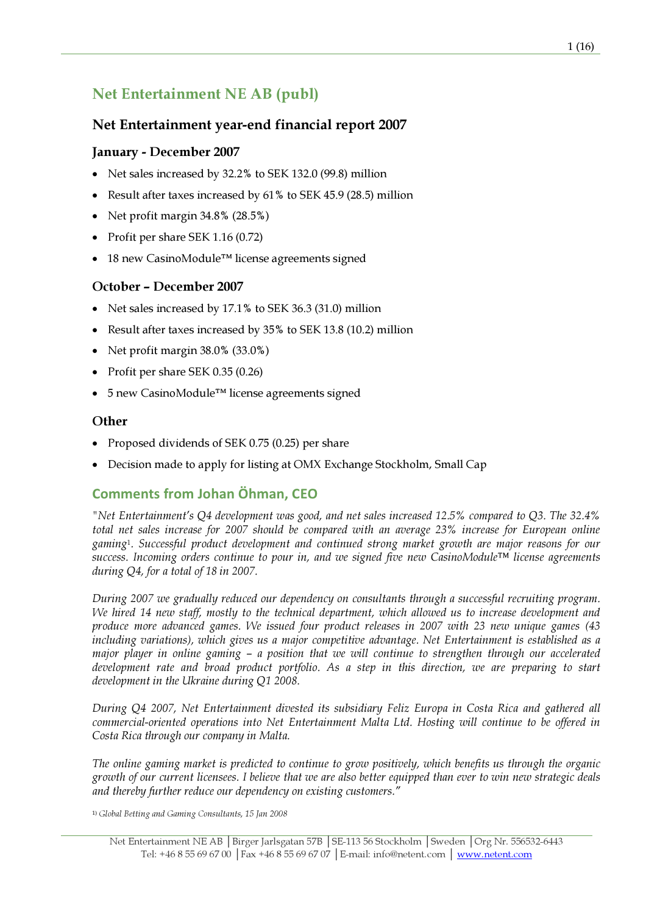# Net Entertainment NE AB (publ)

## Net Entertainment year-end financial report 2007

## January - December 2007

- Net sales increased by 32.2% to SEK 132.0 (99.8) million
- Result after taxes increased by 61% to SEK 45.9 (28.5) million
- Net profit margin 34.8% (28.5%)
- Profit per share SEK 1.16 (0.72)
- 18 new CasinoModule™ license agreements signed

### October – December 2007

- Net sales increased by 17.1% to SEK 36.3 (31.0) million
- Result after taxes increased by 35% to SEK 13.8 (10.2) million
- Net profit margin 38.0% (33.0%)
- Profit per share SEK 0.35 (0.26)
- 5 new CasinoModule™ license agreements signed

### **Other**

- Proposed dividends of SEK 0.75 (0.25) per share
- Decision made to apply for listing at OMX Exchange Stockholm, Small Cap

## Comments from Johan Öhman, CEO

"Net Entertainment's Q4 development was good, and net sales increased 12.5% compared to Q3. The 32.4% total net sales increase for 2007 should be compared with an average 23% increase for European online gaming<sup>1</sup>. Successful product development and continued strong market growth are major reasons for our success. Incoming orders continue to pour in, and we signed five new CasinoModule™ license agreements during Q4, for a total of 18 in 2007.

During 2007 we gradually reduced our dependency on consultants through a successful recruiting program. We hired 14 new staff, mostly to the technical department, which allowed us to increase development and produce more advanced games. We issued four product releases in 2007 with 23 new unique games (43 including variations), which gives us a major competitive advantage. Net Entertainment is established as a major player in online gaming – a position that we will continue to strengthen through our accelerated development rate and broad product portfolio. As a step in this direction, we are preparing to start development in the Ukraine during Q1 2008.

During Q4 2007, Net Entertainment divested its subsidiary Feliz Europa in Costa Rica and gathered all commercial-oriented operations into Net Entertainment Malta Ltd. Hosting will continue to be offered in Costa Rica through our company in Malta.

The online gaming market is predicted to continue to grow positively, which benefits us through the organic growth of our current licensees. I believe that we are also better equipped than ever to win new strategic deals and thereby further reduce our dependency on existing customers."

<sup>1)</sup> Global Betting and Gaming Consultants, 15 Jan 2008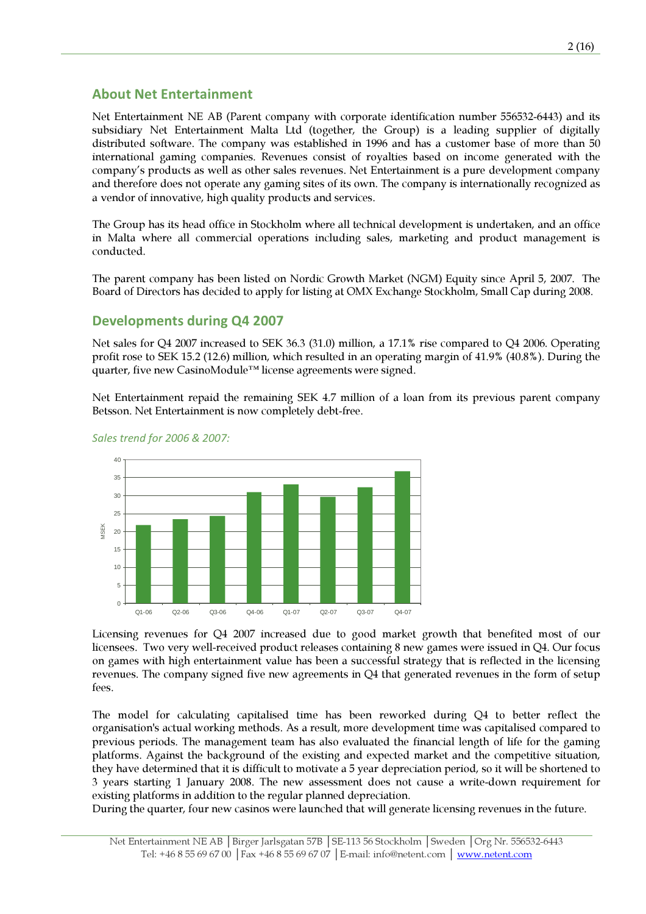### About Net Entertainment

Net Entertainment NE AB (Parent company with corporate identification number 556532-6443) and its subsidiary Net Entertainment Malta Ltd (together, the Group) is a leading supplier of digitally distributed software. The company was established in 1996 and has a customer base of more than 50 international gaming companies. Revenues consist of royalties based on income generated with the company's products as well as other sales revenues. Net Entertainment is a pure development company and therefore does not operate any gaming sites of its own. The company is internationally recognized as a vendor of innovative, high quality products and services.

The Group has its head office in Stockholm where all technical development is undertaken, and an office in Malta where all commercial operations including sales, marketing and product management is conducted.

The parent company has been listed on Nordic Growth Market (NGM) Equity since April 5, 2007. The Board of Directors has decided to apply for listing at OMX Exchange Stockholm, Small Cap during 2008.

### Developments during Q4 2007

Net sales for Q4 2007 increased to SEK 36.3 (31.0) million, a 17.1% rise compared to Q4 2006. Operating profit rose to SEK 15.2 (12.6) million, which resulted in an operating margin of 41.9% (40.8%). During the quarter, five new CasinoModule™ license agreements were signed.

Net Entertainment repaid the remaining SEK 4.7 million of a loan from its previous parent company Betsson. Net Entertainment is now completely debt-free.



#### Sales trend for 2006 & 2007:

Licensing revenues for Q4 2007 increased due to good market growth that benefited most of our licensees. Two very well-received product releases containing 8 new games were issued in Q4. Our focus on games with high entertainment value has been a successful strategy that is reflected in the licensing revenues. The company signed five new agreements in Q4 that generated revenues in the form of setup fees.

The model for calculating capitalised time has been reworked during Q4 to better reflect the organisation's actual working methods. As a result, more development time was capitalised compared to previous periods. The management team has also evaluated the financial length of life for the gaming platforms. Against the background of the existing and expected market and the competitive situation, they have determined that it is difficult to motivate a 5 year depreciation period, so it will be shortened to 3 years starting 1 January 2008. The new assessment does not cause a write-down requirement for existing platforms in addition to the regular planned depreciation.

During the quarter, four new casinos were launched that will generate licensing revenues in the future.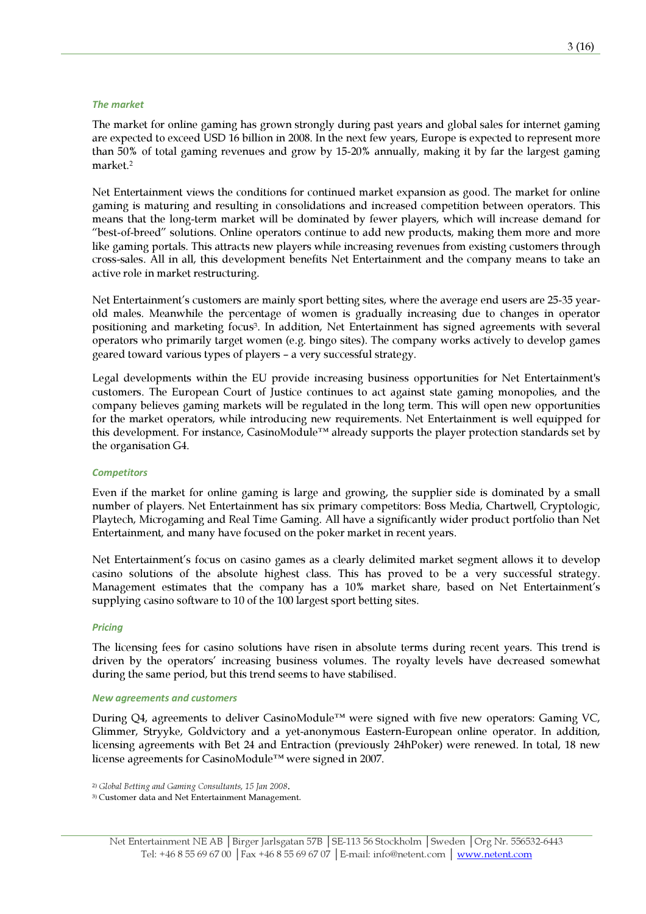#### The market

The market for online gaming has grown strongly during past years and global sales for internet gaming are expected to exceed USD 16 billion in 2008. In the next few years, Europe is expected to represent more than 50% of total gaming revenues and grow by 15-20% annually, making it by far the largest gaming market.<sup>2</sup>

Net Entertainment views the conditions for continued market expansion as good. The market for online gaming is maturing and resulting in consolidations and increased competition between operators. This means that the long-term market will be dominated by fewer players, which will increase demand for "best-of-breed" solutions. Online operators continue to add new products, making them more and more like gaming portals. This attracts new players while increasing revenues from existing customers through cross-sales. All in all, this development benefits Net Entertainment and the company means to take an active role in market restructuring.

Net Entertainment's customers are mainly sport betting sites, where the average end users are 25-35 yearold males. Meanwhile the percentage of women is gradually increasing due to changes in operator positioning and marketing focus<sup>3</sup>. In addition, Net Entertainment has signed agreements with several operators who primarily target women (e.g. bingo sites). The company works actively to develop games geared toward various types of players – a very successful strategy.

Legal developments within the EU provide increasing business opportunities for Net Entertainment's customers. The European Court of Justice continues to act against state gaming monopolies, and the company believes gaming markets will be regulated in the long term. This will open new opportunities for the market operators, while introducing new requirements. Net Entertainment is well equipped for this development. For instance, CasinoModule™ already supports the player protection standards set by the organisation G4.

### **Competitors**

Even if the market for online gaming is large and growing, the supplier side is dominated by a small number of players. Net Entertainment has six primary competitors: Boss Media, Chartwell, Cryptologic, Playtech, Microgaming and Real Time Gaming. All have a significantly wider product portfolio than Net Entertainment, and many have focused on the poker market in recent years.

Net Entertainment's focus on casino games as a clearly delimited market segment allows it to develop casino solutions of the absolute highest class. This has proved to be a very successful strategy. Management estimates that the company has a 10% market share, based on Net Entertainment's supplying casino software to 10 of the 100 largest sport betting sites.

### **Pricing**

The licensing fees for casino solutions have risen in absolute terms during recent years. This trend is driven by the operators' increasing business volumes. The royalty levels have decreased somewhat during the same period, but this trend seems to have stabilised.

#### New agreements and customers

During Q4, agreements to deliver CasinoModule™ were signed with five new operators: Gaming VC, Glimmer, Stryyke, Goldvictory and a yet-anonymous Eastern-European online operator. In addition, licensing agreements with Bet 24 and Entraction (previously 24hPoker) were renewed. In total, 18 new license agreements for CasinoModule™ were signed in 2007.

2) Global Betting and Gaming Consultants, 15 Jan 2008.

3) Customer data and Net Entertainment Management.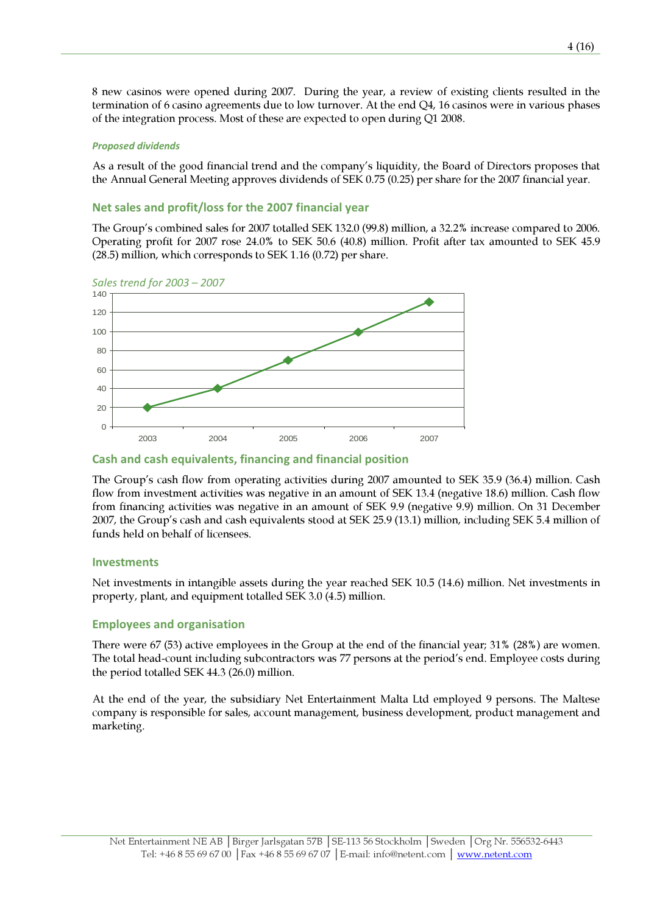8 new casinos were opened during 2007. During the year, a review of existing clients resulted in the termination of 6 casino agreements due to low turnover. At the end Q4, 16 casinos were in various phases of the integration process. Most of these are expected to open during Q1 2008.

### Proposed dividends

As a result of the good financial trend and the company's liquidity, the Board of Directors proposes that the Annual General Meeting approves dividends of SEK 0.75 (0.25) per share for the 2007 financial year.

### Net sales and profit/loss for the 2007 financial year

The Group's combined sales for 2007 totalled SEK 132.0 (99.8) million, a 32.2% increase compared to 2006. Operating profit for 2007 rose 24.0% to SEK 50.6 (40.8) million. Profit after tax amounted to SEK 45.9 (28.5) million, which corresponds to SEK 1.16 (0.72) per share.



### Sales trend for 2003 – 2007

### Cash and cash equivalents, financing and financial position

The Group's cash flow from operating activities during 2007 amounted to SEK 35.9 (36.4) million. Cash flow from investment activities was negative in an amount of SEK 13.4 (negative 18.6) million. Cash flow from financing activities was negative in an amount of SEK 9.9 (negative 9.9) million. On 31 December 2007, the Group's cash and cash equivalents stood at SEK 25.9 (13.1) million, including SEK 5.4 million of funds held on behalf of licensees.

### Investments

Net investments in intangible assets during the year reached SEK 10.5 (14.6) million. Net investments in property, plant, and equipment totalled SEK 3.0 (4.5) million.

### Employees and organisation

There were 67 (53) active employees in the Group at the end of the financial year; 31% (28%) are women. The total head-count including subcontractors was 77 persons at the period's end. Employee costs during the period totalled SEK 44.3 (26.0) million.

At the end of the year, the subsidiary Net Entertainment Malta Ltd employed 9 persons. The Maltese company is responsible for sales, account management, business development, product management and marketing.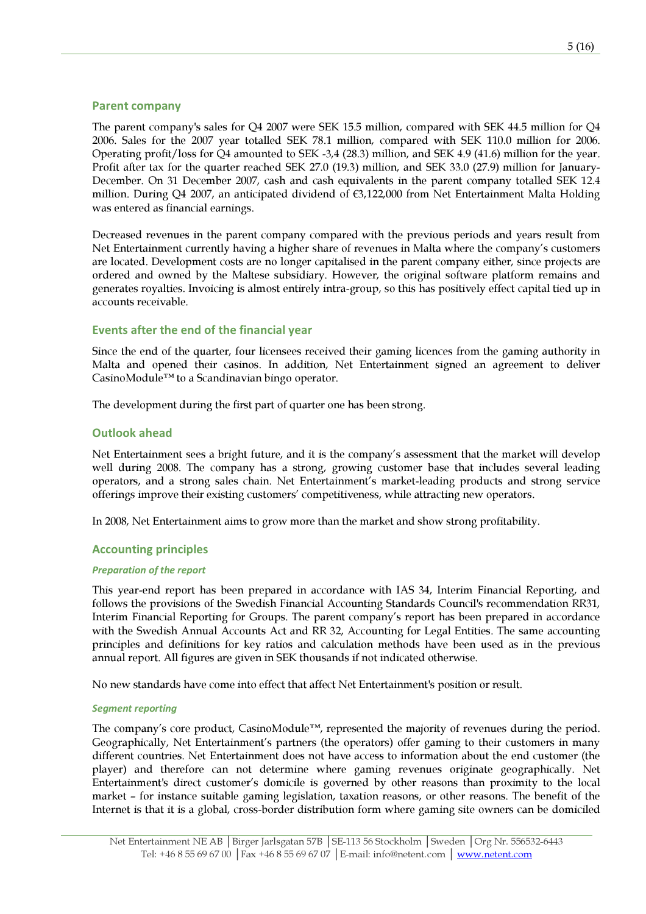### Parent company

The parent company's sales for Q4 2007 were SEK 15.5 million, compared with SEK 44.5 million for Q4 2006. Sales for the 2007 year totalled SEK 78.1 million, compared with SEK 110.0 million for 2006. Operating profit/loss for Q4 amounted to SEK -3,4 (28.3) million, and SEK 4.9 (41.6) million for the year. Profit after tax for the quarter reached SEK 27.0 (19.3) million, and SEK 33.0 (27.9) million for January-December. On 31 December 2007, cash and cash equivalents in the parent company totalled SEK 12.4 million. During Q4 2007, an anticipated dividend of €3,122,000 from Net Entertainment Malta Holding was entered as financial earnings.

Decreased revenues in the parent company compared with the previous periods and years result from Net Entertainment currently having a higher share of revenues in Malta where the company's customers are located. Development costs are no longer capitalised in the parent company either, since projects are ordered and owned by the Maltese subsidiary. However, the original software platform remains and generates royalties. Invoicing is almost entirely intra-group, so this has positively effect capital tied up in accounts receivable.

### Events after the end of the financial year

Since the end of the quarter, four licensees received their gaming licences from the gaming authority in Malta and opened their casinos. In addition, Net Entertainment signed an agreement to deliver CasinoModule™ to a Scandinavian bingo operator.

The development during the first part of quarter one has been strong.

### Outlook ahead

Net Entertainment sees a bright future, and it is the company's assessment that the market will develop well during 2008. The company has a strong, growing customer base that includes several leading operators, and a strong sales chain. Net Entertainment's market-leading products and strong service offerings improve their existing customers' competitiveness, while attracting new operators.

In 2008, Net Entertainment aims to grow more than the market and show strong profitability.

### Accounting principles

### Preparation of the report

This year-end report has been prepared in accordance with IAS 34, Interim Financial Reporting, and follows the provisions of the Swedish Financial Accounting Standards Council's recommendation RR31, Interim Financial Reporting for Groups. The parent company's report has been prepared in accordance with the Swedish Annual Accounts Act and RR 32, Accounting for Legal Entities. The same accounting principles and definitions for key ratios and calculation methods have been used as in the previous annual report. All figures are given in SEK thousands if not indicated otherwise.

No new standards have come into effect that affect Net Entertainment's position or result.

### Segment reporting

The company's core product, CasinoModule™, represented the majority of revenues during the period. Geographically, Net Entertainment's partners (the operators) offer gaming to their customers in many different countries. Net Entertainment does not have access to information about the end customer (the player) and therefore can not determine where gaming revenues originate geographically. Net Entertainment's direct customer's domicile is governed by other reasons than proximity to the local market – for instance suitable gaming legislation, taxation reasons, or other reasons. The benefit of the Internet is that it is a global, cross-border distribution form where gaming site owners can be domiciled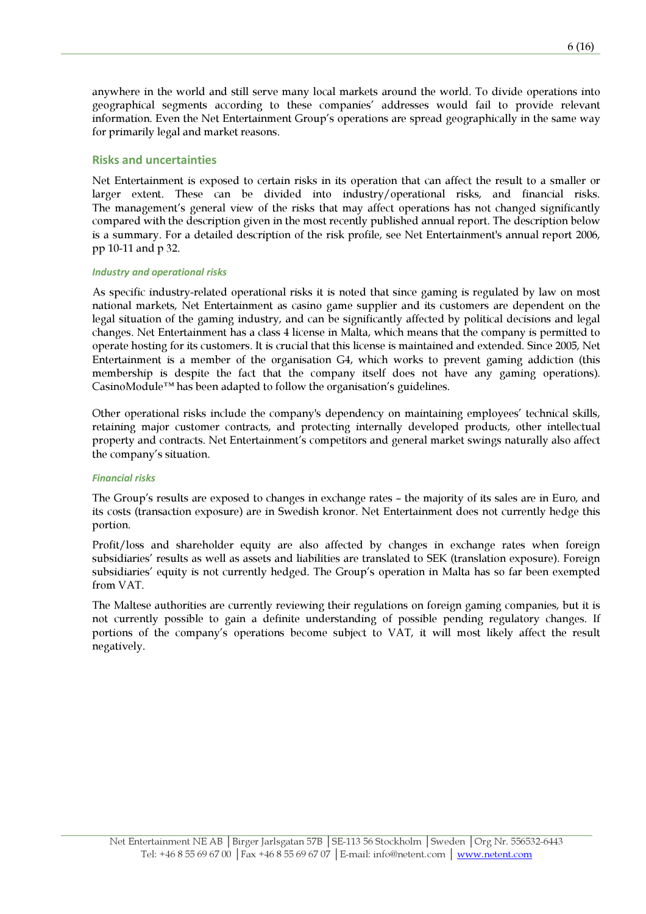anywhere in the world and still serve many local markets around the world. To divide operations into geographical segments according to these companies' addresses would fail to provide relevant information. Even the Net Entertainment Group's operations are spread geographically in the same way for primarily legal and market reasons.

### Risks and uncertainties

Net Entertainment is exposed to certain risks in its operation that can affect the result to a smaller or larger extent. These can be divided into industry/operational risks, and financial risks. The management's general view of the risks that may affect operations has not changed significantly compared with the description given in the most recently published annual report. The description below is a summary. For a detailed description of the risk profile, see Net Entertainment's annual report 2006, pp 10-11 and p 32.

### Industry and operational risks

As specific industry-related operational risks it is noted that since gaming is regulated by law on most national markets, Net Entertainment as casino game supplier and its customers are dependent on the legal situation of the gaming industry, and can be significantly affected by political decisions and legal changes. Net Entertainment has a class 4 license in Malta, which means that the company is permitted to operate hosting for its customers. It is crucial that this license is maintained and extended. Since 2005, Net Entertainment is a member of the organisation G4, which works to prevent gaming addiction (this membership is despite the fact that the company itself does not have any gaming operations). CasinoModule™ has been adapted to follow the organisation's guidelines.

Other operational risks include the company's dependency on maintaining employees' technical skills, retaining major customer contracts, and protecting internally developed products, other intellectual property and contracts. Net Entertainment's competitors and general market swings naturally also affect the company's situation.

#### Financial risks

The Group's results are exposed to changes in exchange rates – the majority of its sales are in Euro, and its costs (transaction exposure) are in Swedish kronor. Net Entertainment does not currently hedge this portion.

Profit/loss and shareholder equity are also affected by changes in exchange rates when foreign subsidiaries' results as well as assets and liabilities are translated to SEK (translation exposure). Foreign subsidiaries' equity is not currently hedged. The Group's operation in Malta has so far been exempted from VAT.

The Maltese authorities are currently reviewing their regulations on foreign gaming companies, but it is not currently possible to gain a definite understanding of possible pending regulatory changes. If portions of the company's operations become subject to VAT, it will most likely affect the result negatively.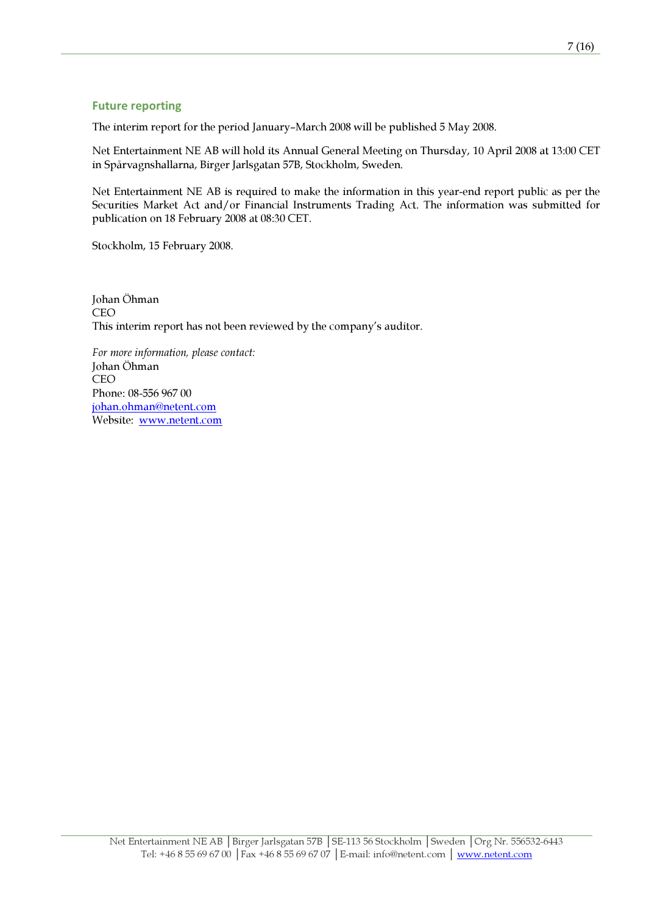### Future reporting

The interim report for the period January–March 2008 will be published 5 May 2008.

Net Entertainment NE AB will hold its Annual General Meeting on Thursday, 10 April 2008 at 13:00 CET in Spårvagnshallarna, Birger Jarlsgatan 57B, Stockholm, Sweden.

Net Entertainment NE AB is required to make the information in this year-end report public as per the Securities Market Act and/or Financial Instruments Trading Act. The information was submitted for publication on 18 February 2008 at 08:30 CET.

Stockholm, 15 February 2008.

Johan Öhman CEO This interim report has not been reviewed by the company's auditor.

For more information, please contact: Johan Öhman CEO Phone: 08-556 967 00 johan.ohman@netent.com Website: www.netent.com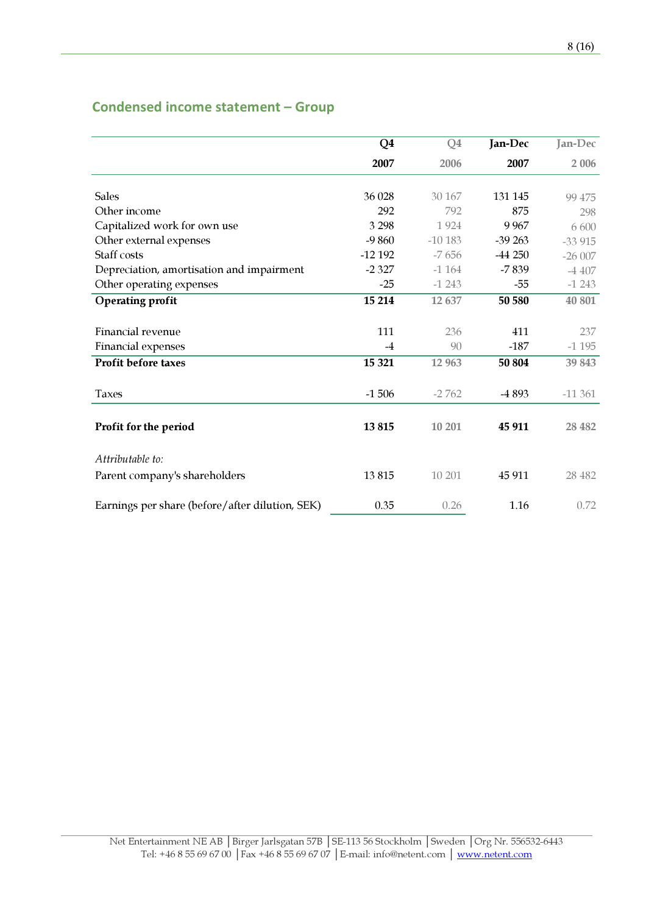# Condensed income statement – Group

|                                                 | Q4       | Q <sub>4</sub> | Jan-Dec  | Jan-Dec  |
|-------------------------------------------------|----------|----------------|----------|----------|
|                                                 | 2007     | 2006           | 2007     | 2 0 0 6  |
|                                                 |          |                |          |          |
| <b>Sales</b>                                    | 36 028   | 30 167         | 131 145  | 99 475   |
| Other income                                    | 292      | 792            | 875      | 298      |
| Capitalized work for own use                    | 3 2 9 8  | 1924           | 9 9 6 7  | 6600     |
| Other external expenses                         | $-9860$  | $-10183$       | $-39263$ | $-33915$ |
| Staff costs                                     | $-12192$ | $-7656$        | $-44250$ | $-26007$ |
| Depreciation, amortisation and impairment       | $-2327$  | $-1164$        | $-7839$  | $-4407$  |
| Other operating expenses                        | $-25$    | $-1243$        | $-55$    | $-1243$  |
| <b>Operating profit</b>                         | 15 214   | 12 637         | 50 580   | 40 801   |
|                                                 |          |                |          |          |
| Financial revenue                               | 111      | 236            | 411      | 237      |
| Financial expenses                              | $-4$     | 90             | $-187$   | $-1195$  |
| Profit before taxes                             | 15 321   | 12 963         | 50 804   | 39 843   |
| <b>Taxes</b>                                    | $-1506$  | $-2762$        | -4 893   | $-11361$ |
| Profit for the period                           | 13815    | 10 201         | 45 911   | 28 4 8 2 |
| Attributable to:                                |          |                |          |          |
| Parent company's shareholders                   | 13815    | 10 201         | 45 911   | 28 4 8 2 |
| Earnings per share (before/after dilution, SEK) | 0.35     | 0.26           | 1.16     | 0.72     |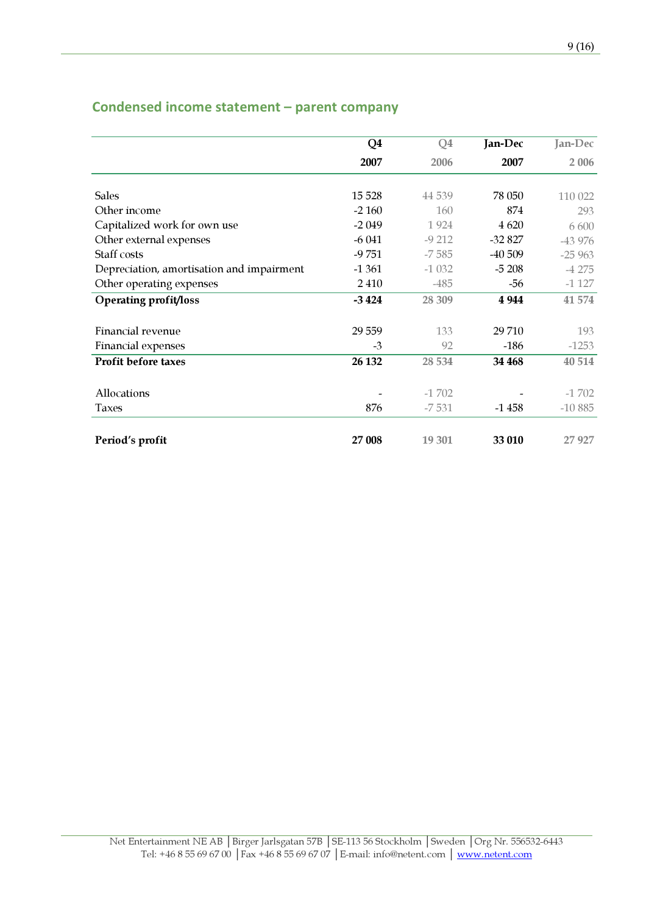## Condensed income statement – parent company

|                                           | Q4      | Q <sub>4</sub> | Jan-Dec  | Jan-Dec  |
|-------------------------------------------|---------|----------------|----------|----------|
|                                           | 2007    | 2006           | 2007     | 2 0 0 6  |
|                                           |         |                |          |          |
| <b>Sales</b>                              | 15 5 28 | 44 5 39        | 78 050   | 110 022  |
| Other income                              | $-2160$ | 160            | 874      | 293      |
| Capitalized work for own use              | $-2049$ | 1924           | 4 6 20   | 6 600    |
| Other external expenses                   | $-6041$ | $-9212$        | $-32827$ | -43 976  |
| <b>Staff costs</b>                        | $-9751$ | $-7585$        | $-40509$ | $-25963$ |
| Depreciation, amortisation and impairment | $-1361$ | $-1032$        | $-5208$  | $-4275$  |
| Other operating expenses                  | 2410    | $-485$         | $-56$    | $-1127$  |
| <b>Operating profit/loss</b>              | $-3424$ | 28 309         | 4 9 4 4  | 41 574   |
|                                           |         |                |          |          |
| Financial revenue                         | 29 5 59 | 133            | 29 710   | 193      |
| Financial expenses                        | $-3$    | 92             | $-186$   | $-1253$  |
| <b>Profit before taxes</b>                | 26 132  | 28 5 34        | 34 468   | 40 514   |
| Allocations                               |         | $-1702$        |          | $-1702$  |
|                                           |         |                |          |          |
| <b>Taxes</b>                              | 876     | $-7531$        | $-1458$  | $-10885$ |
| Period's profit                           | 27 008  | 19 301         | 33 010   | 27 927   |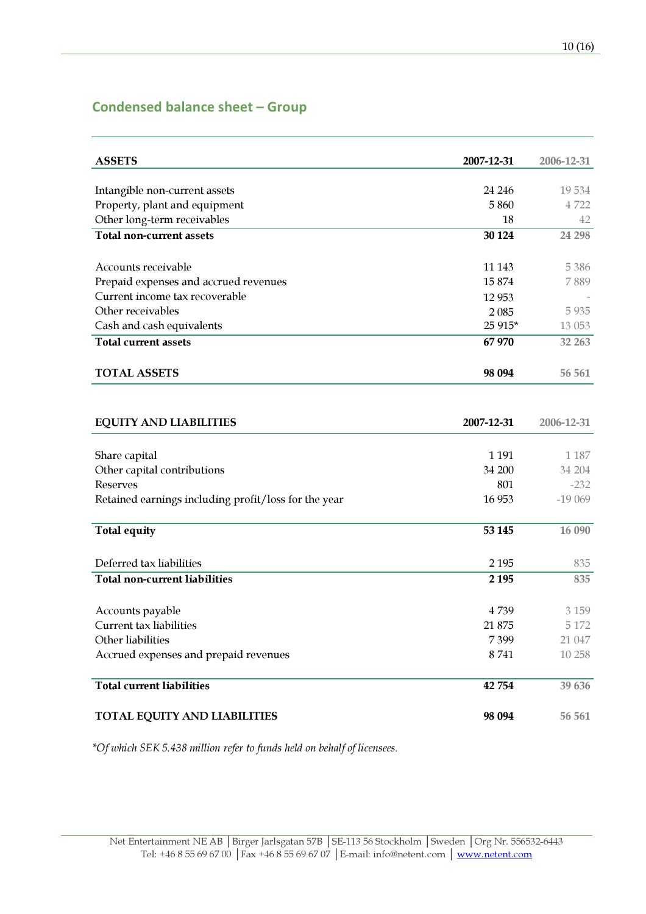## Condensed balance sheet – Group

| <b>ASSETS</b>                                        | 2007-12-31 | 2006-12-31 |
|------------------------------------------------------|------------|------------|
|                                                      |            |            |
| Intangible non-current assets                        | 24 24 6    | 19534      |
| Property, plant and equipment                        | 5860       | 4722       |
| Other long-term receivables                          | 18         | 42         |
| <b>Total non-current assets</b>                      | 30 1 24    | 24 298     |
| Accounts receivable                                  | 11 143     | 5 3 8 6    |
| Prepaid expenses and accrued revenues                | 15874      | 7889       |
| Current income tax recoverable                       | 12 9 53    |            |
| Other receivables                                    | 2085       | 5 9 3 5    |
| Cash and cash equivalents                            | 25 915*    | 13 053     |
| <b>Total current assets</b>                          | 67970      | 32 263     |
| <b>TOTAL ASSETS</b>                                  | 98 094     | 56 561     |
|                                                      |            |            |
| <b>EQUITY AND LIABILITIES</b>                        | 2007-12-31 | 2006-12-31 |
| Share capital                                        | 1 1 9 1    | 1 1 8 7    |
| Other capital contributions                          | 34 200     | 34 204     |
| <b>Reserves</b>                                      | 801        | $-232$     |
| Retained earnings including profit/loss for the year | 16 9 53    | $-19069$   |
| <b>Total equity</b>                                  | 53 145     | 16 090     |
| Deferred tax liabilities                             | 2 1 9 5    | 835        |
| <b>Total non-current liabilities</b>                 | 2 1 9 5    | 835        |
| Accounts payable                                     | 4739       | 3 1 5 9    |
| Current tax liabilities                              | 21 875     | 5 1 7 2    |
| Other liabilities                                    | 7399       | 21 047     |
| Accrued expenses and prepaid revenues                | 8741       | 10 258     |
| <b>Total current liabilities</b>                     | 42 754     | 39 636     |
| TOTAL EQUITY AND LIABILITIES                         | 98 094     | 56 561     |

\*Of which SEK 5.438 million refer to funds held on behalf of licensees.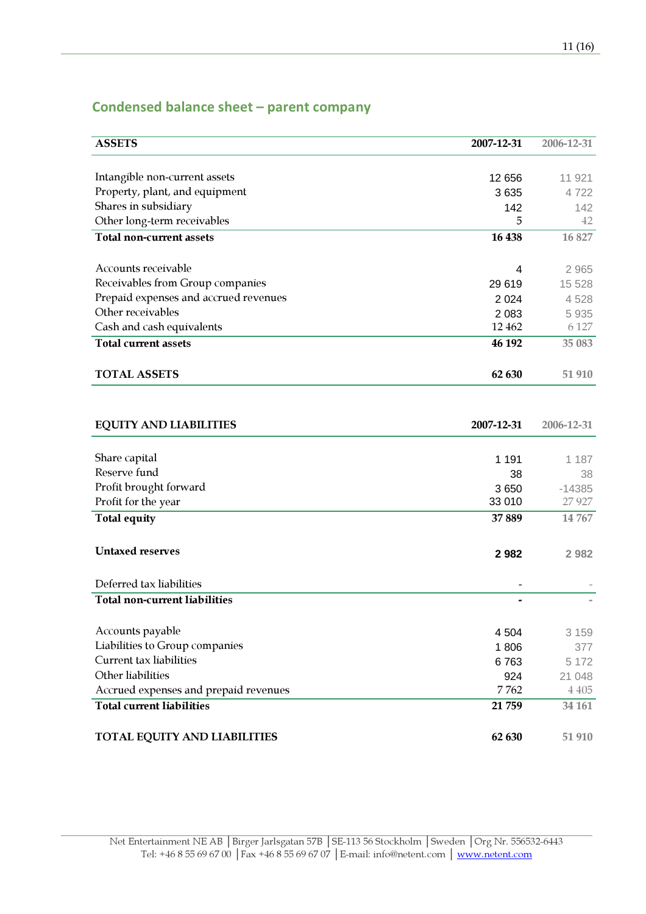## Condensed balance sheet – parent company

| <b>ASSETS</b>                         | 2007-12-31 | 2006-12-31 |
|---------------------------------------|------------|------------|
|                                       |            |            |
| Intangible non-current assets         | 12 656     | 11 921     |
| Property, plant, and equipment        | 3635       | 4722       |
| Shares in subsidiary                  | 142        | 142        |
| Other long-term receivables           | 5          | 42         |
| <b>Total non-current assets</b>       | 16 438     | 16 827     |
|                                       |            |            |
| Accounts receivable                   | 4          | 2 9 6 5    |
| Receivables from Group companies      | 29 619     | 15 5 28    |
| Prepaid expenses and accrued revenues | 2 0 2 4    | 4528       |
| Other receivables                     | 2 0 8 3    | 5 9 3 5    |
| Cash and cash equivalents             | 12 4 62    | 6 1 2 7    |
| <b>Total current assets</b>           | 46 192     | 35 083     |
|                                       |            |            |
| <b>TOTAL ASSETS</b>                   | 62 630     | 51 910     |
|                                       |            |            |
|                                       |            |            |
| <b>EQUITY AND LIABILITIES</b>         | 2007-12-31 | 2006-12-31 |
|                                       |            |            |
| Share capital                         | 1 1 9 1    | 1 1 8 7    |
| Reserve fund                          | 38         | 38         |
| Profit brought forward                | 3650       | $-14385$   |
| Profit for the year                   | 33 010     | 27 9 27    |
| <b>Total equity</b>                   | 37889      | 14 767     |
|                                       |            |            |
| <b>Untaxed reserves</b>               |            |            |
|                                       | 2982       | 2 9 8 2    |
| Deferred tax liabilities              |            |            |
| <b>Total non-current liabilities</b>  |            |            |
|                                       |            |            |
| Accounts payable                      | 4 5 0 4    | 3 1 5 9    |
| Liabilities to Group companies        | 1806       | 377        |
| <b>Current tax liabilities</b>        | 6763       | 5 1 7 2    |
| Other liabilities                     | 924        | 21 048     |
| Accrued expenses and prepaid revenues | 7762       | 4 4 0 5    |
| <b>Total current liabilities</b>      | 21 759     | 34 161     |
|                                       |            |            |
| <b>TOTAL EQUITY AND LIABILITIES</b>   | 62 630     | 51 910     |
|                                       |            |            |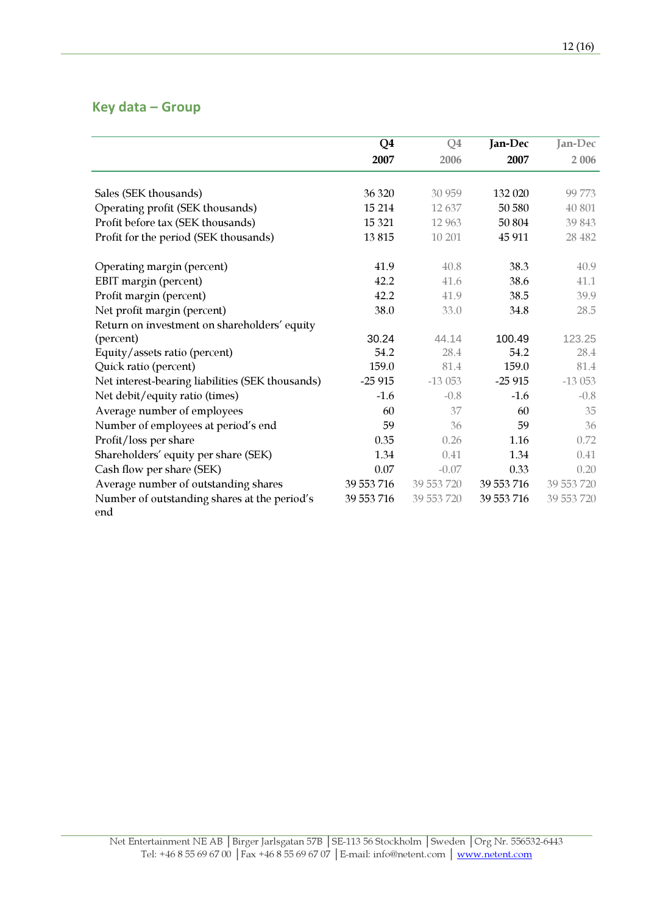## Key data – Group

|                                                  | Q <sub>4</sub> | Q <sub>4</sub> | Jan-Dec    | Jan-Dec    |
|--------------------------------------------------|----------------|----------------|------------|------------|
|                                                  | 2007           | 2006           | 2007       | 2 006      |
|                                                  |                |                |            |            |
| Sales (SEK thousands)                            | 36 320         | 30 959         | 132 020    | 99 773     |
| Operating profit (SEK thousands)                 | 15 214         | 12637          | 50 580     | 40 801     |
| Profit before tax (SEK thousands)                | 15 3 21        | 12 9 63        | 50 804     | 39 843     |
| Profit for the period (SEK thousands)            | 13815          | 10 201         | 45 911     | 28 4 8 2   |
| Operating margin (percent)                       | 41.9           | 40.8           | 38.3       | 40.9       |
| EBIT margin (percent)                            | 42.2           | 41.6           | 38.6       | 41.1       |
| Profit margin (percent)                          | 42.2           | 41.9           | 38.5       | 39.9       |
| Net profit margin (percent)                      | 38.0           | 33.0           | 34.8       | 28.5       |
| Return on investment on shareholders' equity     |                |                |            |            |
| (percent)                                        | 30.24          | 44.14          | 100.49     | 123.25     |
| Equity/assets ratio (percent)                    | 54.2           | 28.4           | 54.2       | 28.4       |
| Quick ratio (percent)                            | 159.0          | 81.4           | 159.0      | 81.4       |
| Net interest-bearing liabilities (SEK thousands) | $-25915$       | $-13053$       | $-25915$   | $-13053$   |
| Net debit/equity ratio (times)                   | $-1.6$         | $-0.8$         | $-1.6$     | $-0.8$     |
| Average number of employees                      | 60             | 37             | 60         | 35         |
| Number of employees at period's end              | 59             | 36             | 59         | 36         |
| Profit/loss per share                            | 0.35           | 0.26           | 1.16       | 0.72       |
| Shareholders' equity per share (SEK)             | 1.34           | 0.41           | 1.34       | 0.41       |
| Cash flow per share (SEK)                        | 0.07           | $-0.07$        | 0.33       | 0.20       |
| Average number of outstanding shares             | 39 553 716     | 39 553 720     | 39 553 716 | 39 553 720 |
| Number of outstanding shares at the period's     | 39 553 716     | 39 553 720     | 39 553 716 | 39 553 720 |
| end                                              |                |                |            |            |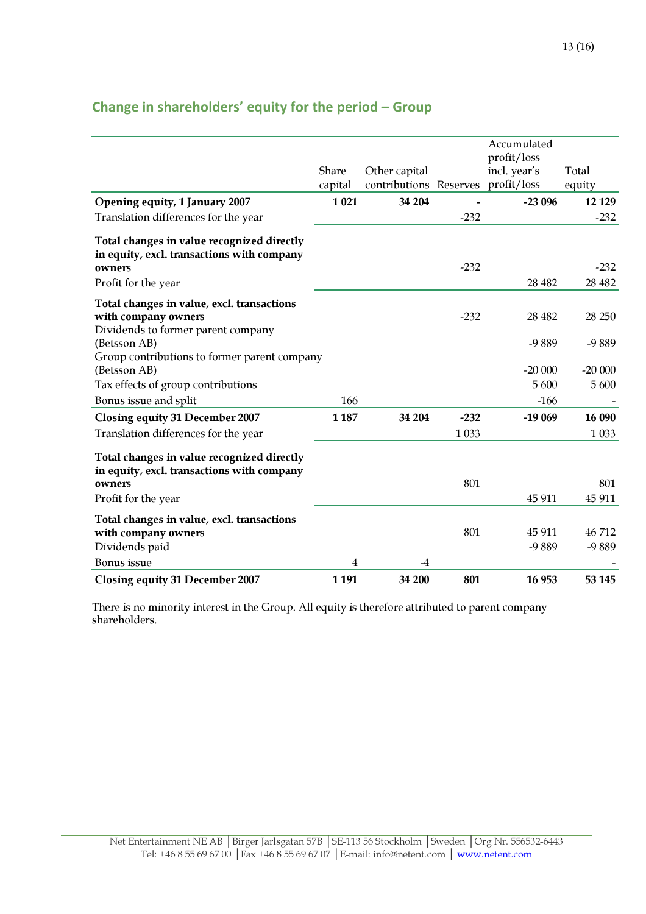|                                                                                                    |         |                        |         | Accumulated<br>profit/loss |          |
|----------------------------------------------------------------------------------------------------|---------|------------------------|---------|----------------------------|----------|
|                                                                                                    | Share   | Other capital          |         | incl. year's               | Total    |
|                                                                                                    | capital | contributions Reserves |         | profit/loss                | equity   |
| Opening equity, 1 January 2007                                                                     | 1 0 21  | 34 204                 |         | $-23096$                   | 12 1 29  |
| Translation differences for the year                                                               |         |                        | $-232$  |                            | $-232$   |
| Total changes in value recognized directly<br>in equity, excl. transactions with company<br>owners |         |                        | $-232$  |                            | $-232$   |
| Profit for the year                                                                                |         |                        |         | 28 4 82                    | 28 4 8 2 |
| Total changes in value, excl. transactions<br>with company owners                                  |         |                        | $-232$  | 28 4 82                    | 28 250   |
| Dividends to former parent company<br>(Betsson AB)<br>Group contributions to former parent company |         |                        |         | -9889                      | -9889    |
| (Betsson AB)                                                                                       |         |                        |         | $-20000$                   | $-20000$ |
| Tax effects of group contributions                                                                 |         |                        |         | 5 600                      | 5 600    |
| Bonus issue and split                                                                              | 166     |                        |         | $-166$                     |          |
| <b>Closing equity 31 December 2007</b>                                                             | 1 1 8 7 | 34 204                 | $-232$  | $-19069$                   | 16 090   |
| Translation differences for the year                                                               |         |                        | 1 0 3 3 |                            | 1 0 3 3  |
| Total changes in value recognized directly<br>in equity, excl. transactions with company           |         |                        |         |                            |          |
| owners                                                                                             |         |                        | 801     |                            | 801      |
| Profit for the year                                                                                |         |                        |         | 45 911                     | 45 911   |
| Total changes in value, excl. transactions<br>with company owners                                  |         |                        | 801     | 45 911                     | 46712    |
| Dividends paid                                                                                     |         |                        |         | -9889                      | -9889    |
| Bonus issue                                                                                        | 4       | -4                     |         |                            |          |
| <b>Closing equity 31 December 2007</b>                                                             | 1 1 9 1 | 34 200                 | 801     | 16 953                     | 53 145   |

# Change in shareholders' equity for the period – Group

There is no minority interest in the Group. All equity is therefore attributed to parent company shareholders.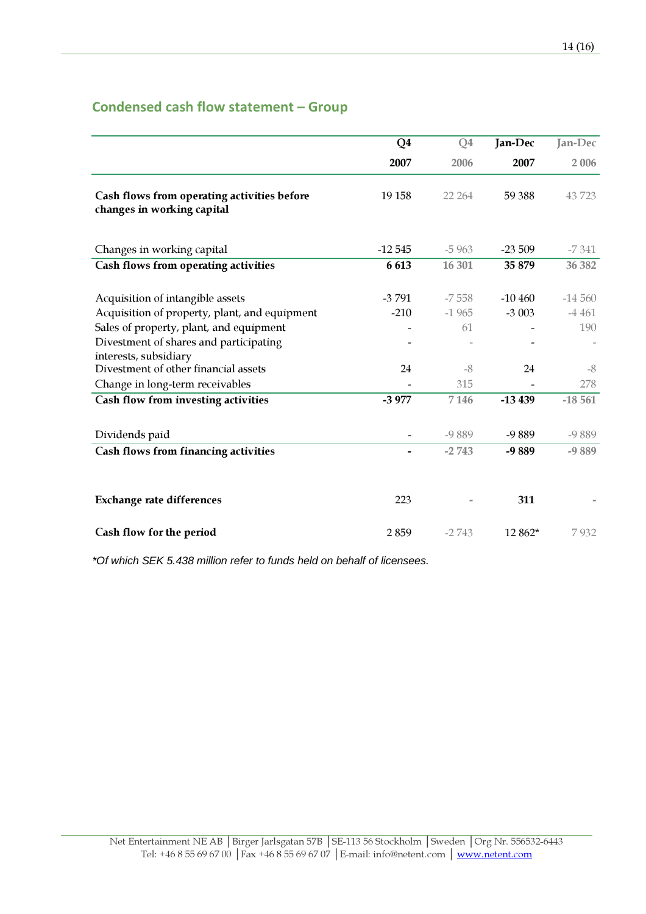# Condensed cash flow statement – Group

|                                                                                   | Q <sub>4</sub>    | Q <sub>4</sub>     | Jan-Dec             | Jan-Dec             |
|-----------------------------------------------------------------------------------|-------------------|--------------------|---------------------|---------------------|
|                                                                                   | 2007              | 2006               | 2007                | 2 0 0 6             |
| Cash flows from operating activities before<br>changes in working capital         | 19 15 8           | 22 264             | 59 388              | 43723               |
| Changes in working capital                                                        | $-12545$          | $-5963$            | $-23509$            | $-7341$             |
| Cash flows from operating activities                                              | 6613              | 16 301             | 35 879              | 36 382              |
| Acquisition of intangible assets<br>Acquisition of property, plant, and equipment | $-3791$<br>$-210$ | $-7558$<br>$-1965$ | $-10460$<br>$-3003$ | $-14560$<br>$-4461$ |
| Sales of property, plant, and equipment<br>Divestment of shares and participating |                   | 61                 |                     | 190                 |
| interests, subsidiary                                                             |                   |                    |                     |                     |
| Divestment of other financial assets                                              | 24                | $-8$               | 24                  | $-8$                |
| Change in long-term receivables                                                   |                   | 315                |                     | 278                 |
| Cash flow from investing activities                                               | $-3977$           | 7 1 4 6            | $-13439$            | $-18561$            |
| Dividends paid                                                                    |                   | $-9889$            | $-9889$             | $-9889$             |
| Cash flows from financing activities                                              |                   | $-2743$            | -9889               | $-9889$             |
| <b>Exchange rate differences</b>                                                  | 223               |                    | 311                 |                     |
| Cash flow for the period                                                          | 2859              | $-2743$            | 12 862*             | 7932                |

\*Of which SEK 5.438 million refer to funds held on behalf of licensees.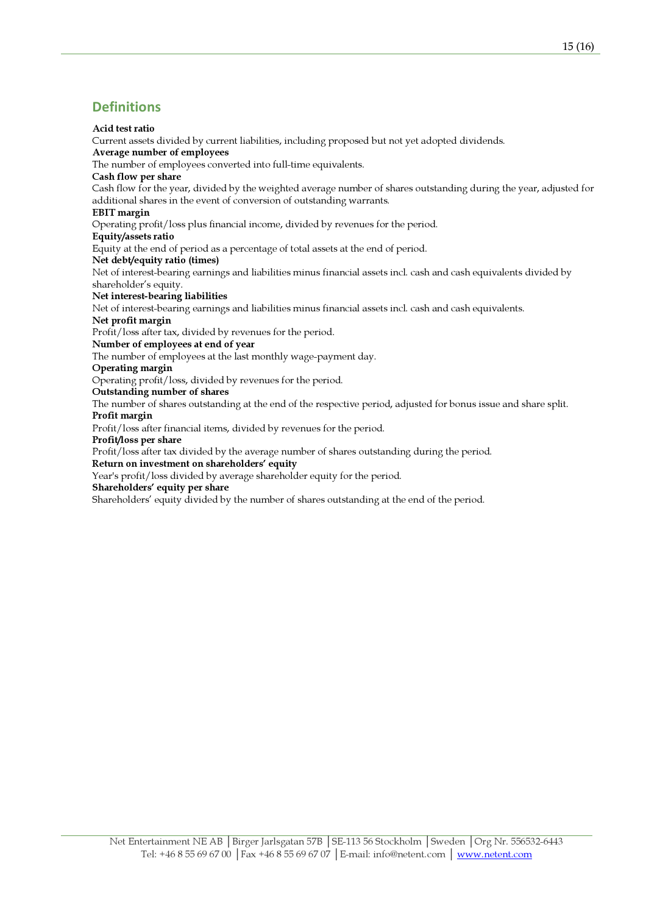## **Definitions**

### Acid test ratio

Current assets divided by current liabilities, including proposed but not yet adopted dividends.

## Average number of employees

The number of employees converted into full-time equivalents.

### Cash flow per share

Cash flow for the year, divided by the weighted average number of shares outstanding during the year, adjusted for additional shares in the event of conversion of outstanding warrants.

### EBIT margin

Operating profit/loss plus financial income, divided by revenues for the period.

### Equity/assets ratio

Equity at the end of period as a percentage of total assets at the end of period.

Net debt/equity ratio (times)

Net of interest-bearing earnings and liabilities minus financial assets incl. cash and cash equivalents divided by shareholder's equity.

### Net interest-bearing liabilities

Net of interest-bearing earnings and liabilities minus financial assets incl. cash and cash equivalents.

### Net profit margin

Profit/loss after tax, divided by revenues for the period.

### Number of employees at end of year

The number of employees at the last monthly wage-payment day.

### Operating margin

Operating profit/loss, divided by revenues for the period.

### Outstanding number of shares

The number of shares outstanding at the end of the respective period, adjusted for bonus issue and share split. Profit margin

Profit/loss after financial items, divided by revenues for the period.

### Profit/loss per share

Profit/loss after tax divided by the average number of shares outstanding during the period.

### Return on investment on shareholders' equity

Year's profit/loss divided by average shareholder equity for the period.

### Shareholders' equity per share

Shareholders' equity divided by the number of shares outstanding at the end of the period.